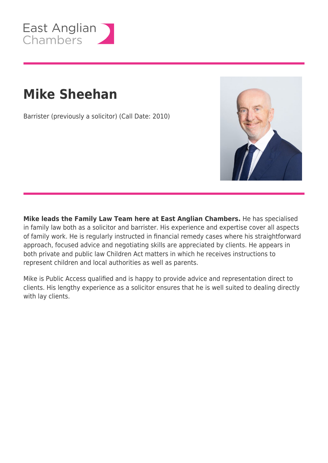

# **Mike Sheehan**

Barrister (previously a solicitor) (Call Date: 2010)



**Mike leads the Family Law Team here at East Anglian Chambers.** He has specialised in family law both as a solicitor and barrister. His experience and expertise cover all aspects of family work. He is regularly instructed in financial remedy cases where his straightforward approach, focused advice and negotiating skills are appreciated by clients. He appears in both private and public law Children Act matters in which he receives instructions to represent children and local authorities as well as parents.

Mike is Public Access qualified and is happy to provide advice and representation direct to clients. His lengthy experience as a solicitor ensures that he is well suited to dealing directly with lay clients.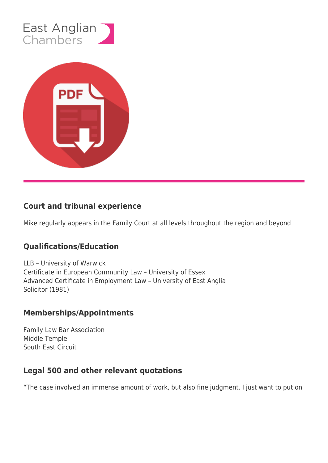



## **Court and tribunal experience**

Mike regularly appears in the Family Court at all levels throughout the region and beyond

## **Qualifications/Education**

LLB – University of Warwick Certificate in European Community Law – University of Essex Advanced Certificate in Employment Law – University of East Anglia Solicitor (1981)

## **Memberships/Appointments**

Family Law Bar Association Middle Temple South East Circuit

## **Legal 500 and other relevant quotations**

"The case involved an immense amount of work, but also fine judgment. I just want to put on